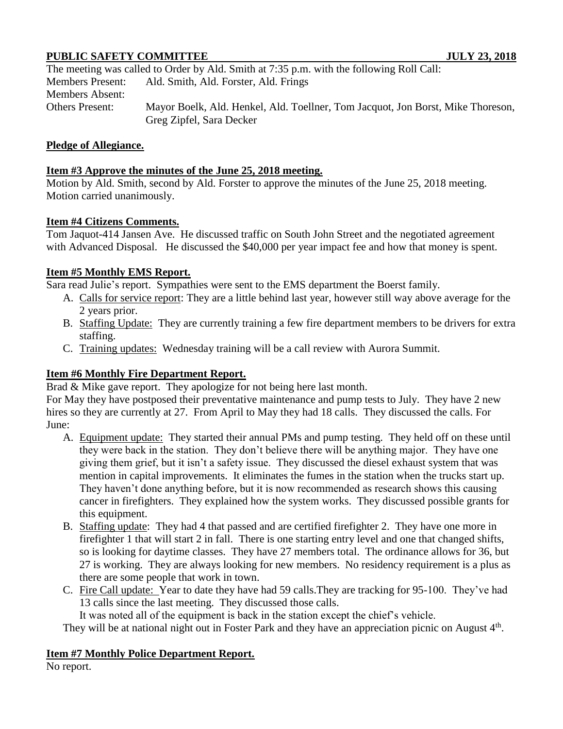# **PUBLIC SAFETY COMMITTEE JULY 23, 2018**

|                         | The meeting was called to Order by Ald. Smith at 7:35 p.m. with the following Roll Call:                    |
|-------------------------|-------------------------------------------------------------------------------------------------------------|
| <b>Members Present:</b> | Ald. Smith, Ald. Forster, Ald. Frings                                                                       |
| <b>Members Absent:</b>  |                                                                                                             |
| Others Present:         | Mayor Boelk, Ald. Henkel, Ald. Toellner, Tom Jacquot, Jon Borst, Mike Thoreson,<br>Greg Zipfel, Sara Decker |

### **Pledge of Allegiance.**

### **Item #3 Approve the minutes of the June 25, 2018 meeting.**

Motion by Ald. Smith, second by Ald. Forster to approve the minutes of the June 25, 2018 meeting. Motion carried unanimously.

### **Item #4 Citizens Comments.**

Tom Jaquot-414 Jansen Ave. He discussed traffic on South John Street and the negotiated agreement with Advanced Disposal. He discussed the \$40,000 per year impact fee and how that money is spent.

### **Item #5 Monthly EMS Report.**

Sara read Julie's report. Sympathies were sent to the EMS department the Boerst family.

- A. Calls for service report: They are a little behind last year, however still way above average for the 2 years prior.
- B. Staffing Update: They are currently training a few fire department members to be drivers for extra staffing.
- C. Training updates: Wednesday training will be a call review with Aurora Summit.

## **Item #6 Monthly Fire Department Report.**

Brad & Mike gave report. They apologize for not being here last month.

For May they have postposed their preventative maintenance and pump tests to July. They have 2 new hires so they are currently at 27. From April to May they had 18 calls. They discussed the calls. For June:

- A. Equipment update: They started their annual PMs and pump testing. They held off on these until they were back in the station. They don't believe there will be anything major. They have one giving them grief, but it isn't a safety issue. They discussed the diesel exhaust system that was mention in capital improvements. It eliminates the fumes in the station when the trucks start up. They haven't done anything before, but it is now recommended as research shows this causing cancer in firefighters. They explained how the system works. They discussed possible grants for this equipment.
- B. Staffing update: They had 4 that passed and are certified firefighter 2. They have one more in firefighter 1 that will start 2 in fall. There is one starting entry level and one that changed shifts, so is looking for daytime classes. They have 27 members total. The ordinance allows for 36, but 27 is working. They are always looking for new members. No residency requirement is a plus as there are some people that work in town.
- C. Fire Call update: Year to date they have had 59 calls.They are tracking for 95-100. They've had 13 calls since the last meeting. They discussed those calls.

It was noted all of the equipment is back in the station except the chief's vehicle.

They will be at national night out in Foster Park and they have an appreciation picnic on August  $4<sup>th</sup>$ .

### **Item #7 Monthly Police Department Report.**

No report.